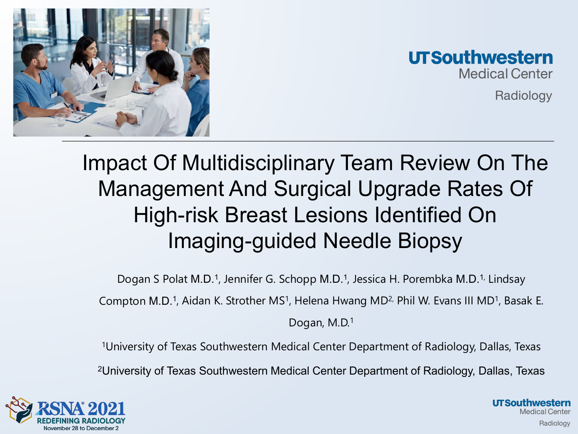



Radiology

### Impact Of Multidisciplinary Team Review On The Management And Surgical Upgrade Rates Of High-risk Breast Lesions Identified On Imaging-guided Needle Biopsy

Dogan S Polat M.D.<sup>1</sup>, Jennifer G. Schopp M.D.<sup>1</sup>, Jessica H. Porembka M.D.<sup>1,</sup> Lindsay

Compton M.D.<sup>1</sup>, Aidan K. Strother MS<sup>1</sup>, Helena Hwang MD<sup>2,</sup> Phil W. Evans III MD<sup>1</sup>, Basak E.

Dogan, M.D.<sup>1</sup>

1University of Texas Southwestern Medical Center Department of Radiology, Dallas, Texas 2University of Texas Southwestern Medical Center Department of Radiology, Dallas, Texas

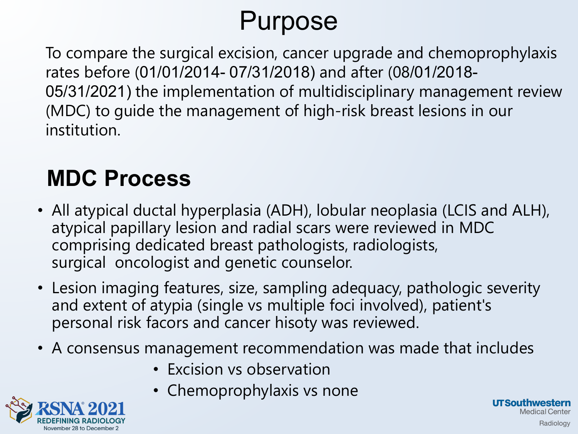# Purpose

To compare the surgical excision, cancer upgrade and chemoprophylaxis rates before (01/01/2014- 07/31/2018) and after (08/01/2018- 05/31/2021) the implementation of multidisciplinary management review (MDC) to guide the management of high-risk breast lesions in our institution.

### **MDC Process**

- All atypical ductal hyperplasia (ADH), lobular neoplasia (LCIS and ALH), atypical papillary lesion and radial scars were reviewed in MDC comprising dedicated breast pathologists, radiologists, surgical oncologist and genetic counselor.
- Lesion imaging features, size, sampling adequacy, pathologic severity and extent of atypia (single vs multiple foci involved), patient's personal risk facors and cancer hisoty was reviewed.
- A consensus management recommendation was made that includes

**I** IT Southwestern

Medical Center Radiology

- Excision vs observation
- Chemoprophylaxis vs none

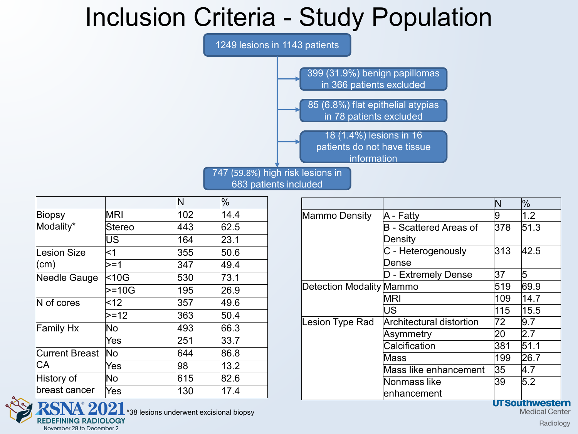### Inclusion Criteria - Study Population



|                       |            | N   | $\%$ |
|-----------------------|------------|-----|------|
| Biopsy                | <b>MRI</b> | 102 | 14.4 |
| Modality*             | Stereo     | 443 | 62.5 |
|                       | US         | 164 | 23.1 |
| Lesion Size           | <1         | 355 | 50.6 |
| (cm)                  | $>=1$      | 347 | 49.4 |
| Needle Gauge          | $ $ <10G   | 530 | 73.1 |
|                       | $>=10G$    | 195 | 26.9 |
| $\mathsf N$ of cores  | $ $ < 12   | 357 | 49.6 |
|                       | $>=12$     | 363 | 50.4 |
| Family Hx             | No         | 493 | 66.3 |
|                       | Yes        | 251 | 33.7 |
| <b>Current Breast</b> | No         | 644 | 86.8 |
| CА                    | Yes        | 98  | 13.2 |
| History of            | No         | 615 | 82.6 |
| breast cancer         | Yes        | 130 | 17.4 |

REDEFINING RADIOLOGY

November 28 to December 2

|                          |                                 | IN  | $\%$ |
|--------------------------|---------------------------------|-----|------|
| <b>Mammo Density</b>     | A - Fatty                       | 9   | 1.2  |
|                          | B - Scattered Areas of          | 378 | 51.3 |
|                          | Density                         |     |      |
|                          | C - Heterogenously              | 313 | 42.5 |
|                          | Dense                           |     |      |
|                          | D - Extremely Dense             | 37  | 5    |
| Detection Modality Mammo |                                 | 519 | 69.9 |
|                          | MRI                             | 109 | 14.7 |
|                          | US                              | 115 | 15.5 |
| Lesion Type Rad          | <b>Architectural distortion</b> | 72  | 9.7  |
|                          | Asymmetry                       | 20  | 2.7  |
|                          | Calcification                   | 381 | 51.1 |
|                          | Mass                            | 199 | 26.7 |
|                          | Mass like enhancement           | 35  | 4.7  |
|                          | Nonmass like                    | 39  | 5.2  |
|                          | enhancement                     |     |      |

**UTSouthwestern** 

**Medical Center** 

\*38 lesions underwent excisional biopsy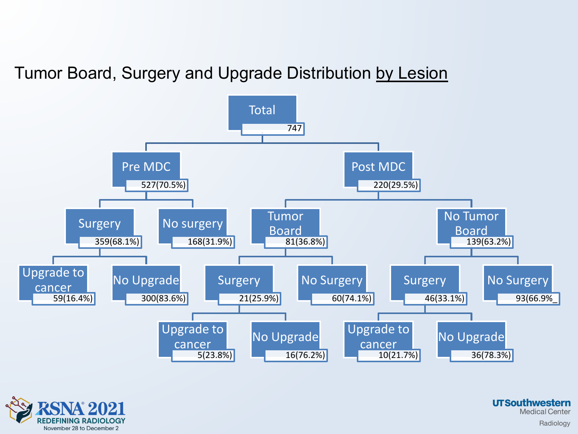Tumor Board, Surgery and Upgrade Distribution by Lesion



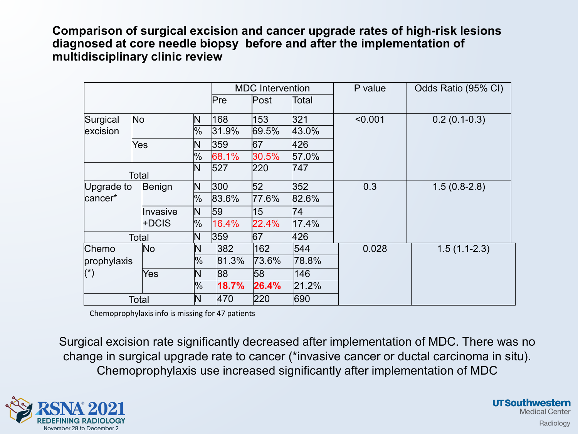**Comparison of surgical excision and cancer upgrade rates of high-risk lesions diagnosed at core needle biopsy before and after the implementation of multidisciplinary clinic review**

|                       |          |               |       | <b>MDC</b> Intervention |       | P value | Odds Ratio (95% CI) |
|-----------------------|----------|---------------|-------|-------------------------|-------|---------|---------------------|
|                       |          |               | Pre   | Post                    | Total |         |                     |
| Surgical              | No       | N             | 168   | 153                     | 321   | < 0.001 | $0.2(0.1-0.3)$      |
| excision              |          | %             | 31.9% | 69.5%                   | 43.0% |         |                     |
|                       | Yes      | N             | 359   | 67                      | 426   |         |                     |
|                       |          | %             | 68.1% | 30.5%                   | 57.0% |         |                     |
|                       | Total    | N             | 527   | 220                     | 747   |         |                     |
| Upgrade to            | Benign   | N             | 300   | 52                      | 352   | 0.3     | $1.5(0.8-2.8)$      |
| cancer*               |          | %             | 83.6% | 77.6%                   | 82.6% |         |                     |
|                       | Invasive | N             | 59    | 15                      | 74    |         |                     |
|                       | l+DCIS   | $\%$          | 16.4% | 22.4%                   | 17.4% |         |                     |
|                       | Total    | N             | 359   | 67                      | 426   |         |                     |
| Chemo                 | No       | $\mathsf{N}$  | 382   | 162                     | 544   | 0.028   | $1.5(1.1-2.3)$      |
| prophylaxis           |          | $\frac{9}{6}$ | 81.3% | 73.6%                   | 78.8% |         |                     |
| $(\dot{\phantom{a}})$ | Yes      | $\mathsf{N}$  | 88    | 58                      | 146   |         |                     |
|                       |          | %             | 18.7% | 26.4%                   | 21.2% |         |                     |
|                       | Total    | $\mathsf{N}$  | 470   | 220                     | 690   |         |                     |

Chemoprophylaxis info is missing for 47 patients

Surgical excision rate significantly decreased after implementation of MDC. There was no change in surgical upgrade rate to cancer (\*invasive cancer or ductal carcinoma in situ). Chemoprophylaxis use increased significantly after implementation of MDC

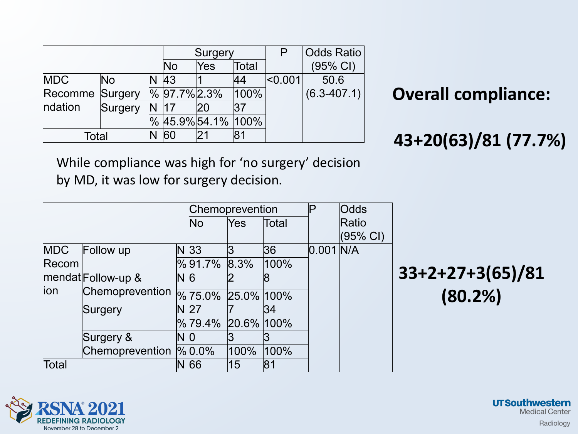|                        |         |   |                 | Surgery          |       |       | <b>Odds Ratio</b> |
|------------------------|---------|---|-----------------|------------------|-------|-------|-------------------|
|                        |         |   | No              | Yes              | Total |       | (95% CI)          |
| <b>MDC</b>             | No      |   | 43              |                  | 44    | 0.001 | 50.6              |
| <b>Recomme Surgery</b> |         |   | $\%$ 97.7% 2.3% |                  | 100%  |       | $(6.3 - 407.1)$   |
| ndation                | Surgery |   |                 |                  | 37    |       |                   |
|                        |         | ℅ |                 | 45.9% 54.1% 100% |       |       |                   |
| Total                  |         |   | 60              |                  | 81    |       |                   |

#### **Overall compliance:**

#### **43+20(63)/81 (77.7%)**

While compliance was high for 'no surgery' decision by MD, it was low for surgery decision.

|            |                            |                | Odds<br>Chemoprevention<br>$\sf P$ |            |       |             |                     |                    |
|------------|----------------------------|----------------|------------------------------------|------------|-------|-------------|---------------------|--------------------|
|            |                            |                | No                                 | Yes        | Total |             | Ratio               |                    |
|            |                            |                |                                    |            |       |             | $(95\% \text{ Cl})$ |                    |
| <b>MDC</b> | Follow up                  |                | $N$ 33                             |            | 36    | $0.001$ N/A |                     |                    |
| Recom      |                            |                | $\%$ 91.7%                         | 8.3%       | 100%  |             |                     |                    |
|            | $ $ mendat $ $ Follow-up & | N6             |                                    |            |       |             |                     | $33+2+27+3(65)/81$ |
| lion       | Chemoprevention            |                | $\frac{9}{6}$ 75.0%                | 25.0% 100% |       |             |                     | (80.2%)            |
|            | Surgery                    |                | N 27                               |            | 34    |             |                     |                    |
|            |                            |                | $\%$ 79.4%                         | 20.6% 100% |       |             |                     |                    |
|            | Surgery &                  | N <sub>0</sub> |                                    |            |       |             |                     |                    |
|            | Chemoprevention $\%$ 0.0%  |                |                                    | 100%       | 100%  |             |                     |                    |
| Total      |                            |                | N 66                               | 15         | 81    |             |                     |                    |

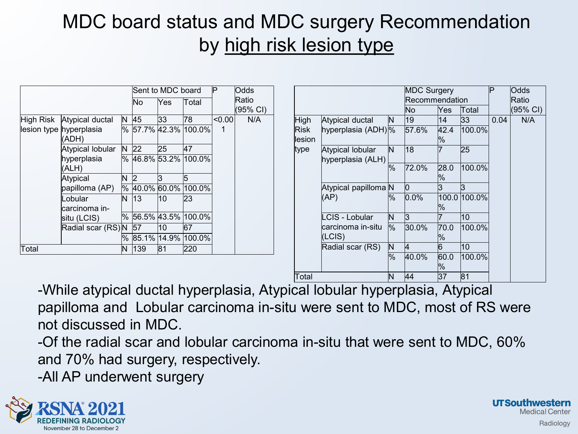### MDC board status and MDC surgery Recommendation by high risk lesion type

|             |                                            |      |     | Sent to MDC board       |                         | P      | Odds              |
|-------------|--------------------------------------------|------|-----|-------------------------|-------------------------|--------|-------------------|
|             |                                            |      | Νo  | Yes                     | Total                   |        | Ratio<br>(95% CI) |
| High Risk   | Atypical ductal                            | N    | 45  | 33                      | 78                      | < 0.00 | N/A               |
|             | lesion type hyperplasia<br>(ADH)           |      |     |                         | % 57.7% 42.3% 100.0%    | 1      |                   |
|             | Atypical lobular                           | N.   | 22  | 25                      | 47                      |        |                   |
|             | hyperplasia<br>(ALH)                       |      |     |                         | %  46.8%  53.2%  100.0% |        |                   |
|             | Atypical                                   | N    | 2   | 3                       | 5                       |        |                   |
|             | papilloma (AP)<br>Lobular<br>carcinoma in- | $\%$ |     |                         | 40.0% 60.0% 100.0%      |        |                   |
|             |                                            | N    | 13  | 10                      | 23                      |        |                   |
| situ (LCIS) |                                            |      |     | %  56.5%  43.5%  100.0% |                         |        |                   |
|             | Radial scar (RS)N                          |      | 57  | 10                      | 67                      |        |                   |
|             |                                            |      |     |                         | % 85.1% 14.9% 100.0%    |        |                   |
| Total       |                                            | N    | 139 | 81                      | 220                     |        |                   |

|                                               |                                  |    | <b>MDC Surgery</b> |           |              | P     | <b>Odds</b> |
|-----------------------------------------------|----------------------------------|----|--------------------|-----------|--------------|-------|-------------|
|                                               |                                  |    | Recommendation     |           |              | Ratio |             |
|                                               |                                  |    | No                 | Yes       | Total        |       | (95% CI)    |
| High                                          | Atypical ductal                  | N  | 19                 | 14        | 33           | 0.04  | N/A         |
| Risk<br>llesion                               | hyperplasia (ADH) %              |    | 57.6%              | 42.4<br>% | 100.0%       |       |             |
| type<br>Atypical lobular<br>hyperplasia (ALH) | ΙN                               | 18 |                    | 25        |              |       |             |
|                                               |                                  | %  | 72.0%              | 28.0<br>% | 100.0%       |       |             |
|                                               | Atypical papilloma N<br>$ $ (AP) |    | O                  | 3         | 3            |       |             |
|                                               |                                  | %  | $0.0\%$            | %         | 100.0 100.0% |       |             |
|                                               | LCIS - Lobular                   | N  | 3                  |           | 10           |       |             |
|                                               | carcinoma in-situ<br>(LCIS)      | %  | 30.0%              | 70.0<br>% | 100.0%       |       |             |
|                                               | Radial scar (RS)                 | N  | 4                  | 16        | 10           |       |             |
|                                               |                                  | %  | 40.0%              | 60.0<br>% | 100.0%       |       |             |
| Total                                         |                                  | ΙN | 44                 | 37        | 81           |       |             |

-While atypical ductal hyperplasia, Atypical lobular hyperplasia, Atypical papilloma and Lobular carcinoma in-situ were sent to MDC, most of RS were not discussed in MDC.

-Of the radial scar and lobular carcinoma in-situ that were sent to MDC, 60% and 70% had surgery, respectively.

-All AP underwent surgery

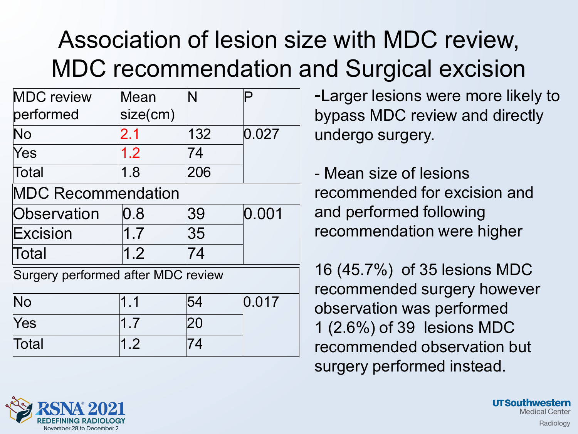### Association of lesion size with MDC review, MDC recommendation and Surgical excision

| <b>MDC</b> review<br>performed     | Mean<br>size(cm) | N   | P     |
|------------------------------------|------------------|-----|-------|
| No                                 | 2.1              | 132 | 0.027 |
| Yes                                | 1.2              | 74  |       |
| Total                              | 1.8              | 206 |       |
| <b>MDC Recommendation</b>          |                  |     |       |
| Observation                        | $0.8\,$          | 39  | 0.001 |
| Excision                           | 1.7              | 35  |       |
| Total                              | 1.2              | 74  |       |
| Surgery performed after MDC review |                  |     |       |
| No                                 | 1.1              | 54  | 0.017 |
| Yes                                | 1.7              | 20  |       |
| Total                              | 1.2              | 74  |       |

-Larger lesions were more likely to bypass MDC review and directly undergo surgery.

- Mean size of lesions recommended for excision and and performed following recommendation were higher

16 (45.7%) of 35 lesions MDC recommended surgery however observation was performed 1 (2.6%) of 39 lesions MDC recommended observation but surgery performed instead.

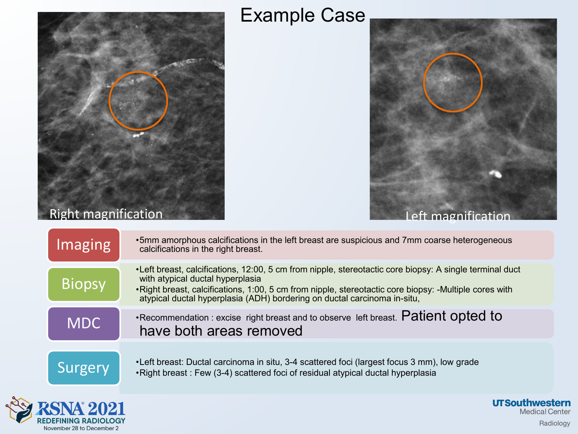

#### Example Case



| <b>Imaging</b> | •5mm amorphous calcifications in the left breast are suspicious and 7mm coarse heterogeneous<br>calcifications in the right breast.                                                                                                                                                                                              |
|----------------|----------------------------------------------------------------------------------------------------------------------------------------------------------------------------------------------------------------------------------------------------------------------------------------------------------------------------------|
| <b>Biopsy</b>  | •Left breast, calcifications, 12:00, 5 cm from nipple, stereotactic core biopsy: A single terminal duct<br>with atypical ductal hyperplasia<br>•Right breast, calcifications, 1:00, 5 cm from nipple, stereotactic core biopsy: -Multiple cores with<br>atypical ductal hyperplasia (ADH) bordering on ductal carcinoma in-situ, |
| <b>MDC</b>     | •Recommendation : excise right breast and to observe left breast. Patient opted to<br>have both areas removed                                                                                                                                                                                                                    |
| Surgery        | •Left breast: Ductal carcinoma in situ, 3-4 scattered foci (largest focus 3 mm), low grade<br>•Right breast: Few (3-4) scattered foci of residual atypical ductal hyperplasia                                                                                                                                                    |